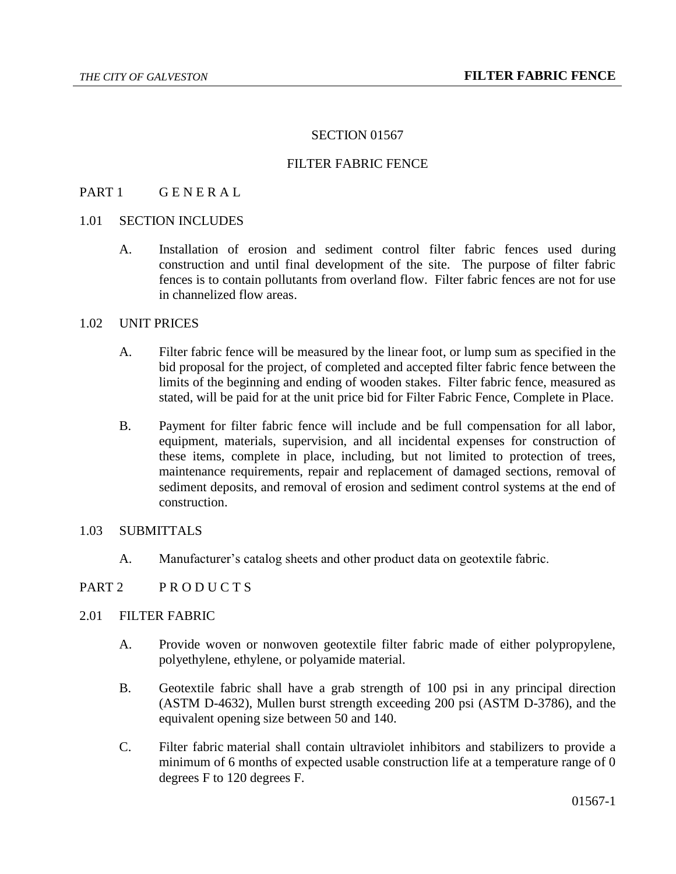#### SECTION 01567

## FILTER FABRIC FENCE

## PART 1 GENERAL

# 1.01 SECTION INCLUDES

A. Installation of erosion and sediment control filter fabric fences used during construction and until final development of the site. The purpose of filter fabric fences is to contain pollutants from overland flow. Filter fabric fences are not for use in channelized flow areas.

## 1.02 UNIT PRICES

- A. Filter fabric fence will be measured by the linear foot, or lump sum as specified in the bid proposal for the project, of completed and accepted filter fabric fence between the limits of the beginning and ending of wooden stakes. Filter fabric fence, measured as stated, will be paid for at the unit price bid for Filter Fabric Fence, Complete in Place.
- B. Payment for filter fabric fence will include and be full compensation for all labor, equipment, materials, supervision, and all incidental expenses for construction of these items, complete in place, including, but not limited to protection of trees, maintenance requirements, repair and replacement of damaged sections, removal of sediment deposits, and removal of erosion and sediment control systems at the end of construction.

# 1.03 SUBMITTALS

A. Manufacturer's catalog sheets and other product data on geotextile fabric.

#### PART 2 PRODUCTS

#### 2.01 FILTER FABRIC

- A. Provide woven or nonwoven geotextile filter fabric made of either polypropylene, polyethylene, ethylene, or polyamide material.
- B. Geotextile fabric shall have a grab strength of 100 psi in any principal direction (ASTM D-4632), Mullen burst strength exceeding 200 psi (ASTM D-3786), and the equivalent opening size between 50 and 140.
- C. Filter fabric material shall contain ultraviolet inhibitors and stabilizers to provide a minimum of 6 months of expected usable construction life at a temperature range of 0 degrees F to 120 degrees F.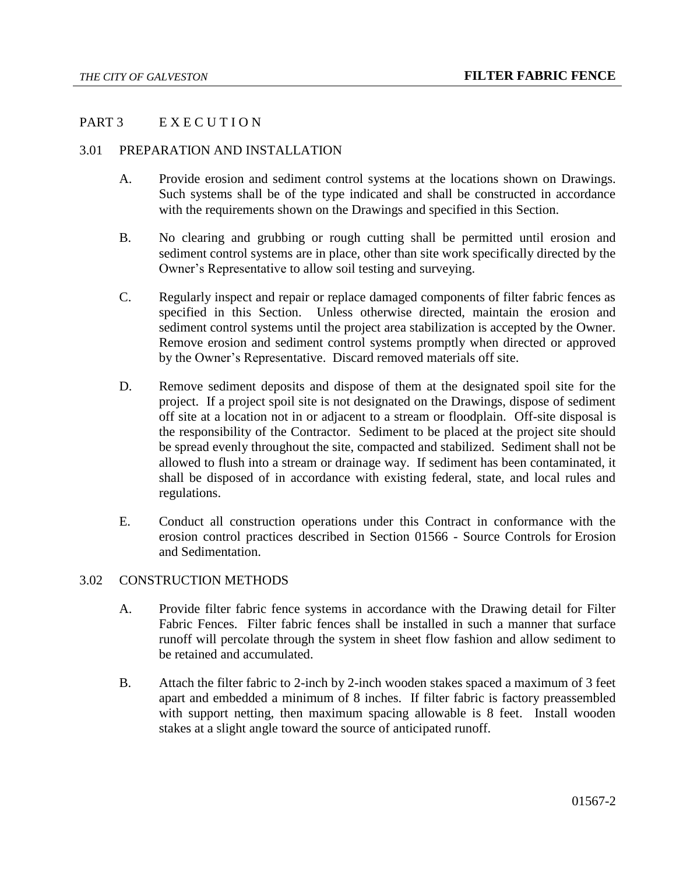# PART 3 EXECUTION

# 3.01 PREPARATION AND INSTALLATION

- A. Provide erosion and sediment control systems at the locations shown on Drawings. Such systems shall be of the type indicated and shall be constructed in accordance with the requirements shown on the Drawings and specified in this Section.
- B. No clearing and grubbing or rough cutting shall be permitted until erosion and sediment control systems are in place, other than site work specifically directed by the Owner's Representative to allow soil testing and surveying.
- C. Regularly inspect and repair or replace damaged components of filter fabric fences as specified in this Section. Unless otherwise directed, maintain the erosion and sediment control systems until the project area stabilization is accepted by the Owner. Remove erosion and sediment control systems promptly when directed or approved by the Owner's Representative. Discard removed materials off site.
- D. Remove sediment deposits and dispose of them at the designated spoil site for the project. If a project spoil site is not designated on the Drawings, dispose of sediment off site at a location not in or adjacent to a stream or floodplain. Off-site disposal is the responsibility of the Contractor. Sediment to be placed at the project site should be spread evenly throughout the site, compacted and stabilized. Sediment shall not be allowed to flush into a stream or drainage way. If sediment has been contaminated, it shall be disposed of in accordance with existing federal, state, and local rules and regulations.
- E. Conduct all construction operations under this Contract in conformance with the erosion control practices described in Section 01566 - Source Controls for Erosion and Sedimentation.

# 3.02 CONSTRUCTION METHODS

- A. Provide filter fabric fence systems in accordance with the Drawing detail for Filter Fabric Fences. Filter fabric fences shall be installed in such a manner that surface runoff will percolate through the system in sheet flow fashion and allow sediment to be retained and accumulated.
- B. Attach the filter fabric to 2-inch by 2-inch wooden stakes spaced a maximum of 3 feet apart and embedded a minimum of 8 inches. If filter fabric is factory preassembled with support netting, then maximum spacing allowable is 8 feet. Install wooden stakes at a slight angle toward the source of anticipated runoff.